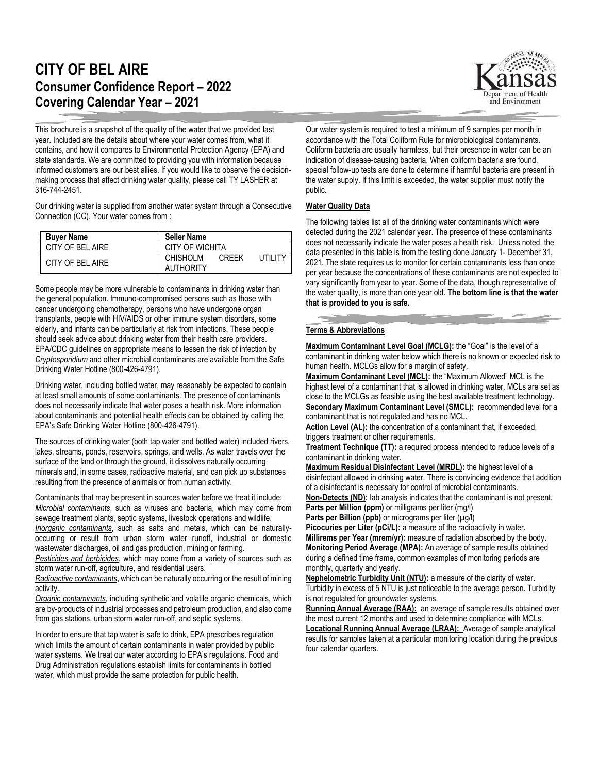## **CITY OF BEL AIRE Consumer Confidence Report – 2022 Covering Calendar Year – 2021**

This brochure is a snapshot of the quality of the water that we provided last year. Included are the details about where your water comes from, what it contains, and how it compares to Environmental Protection Agency (EPA) and state standards. We are committed to providing you with information because informed customers are our best allies. If you would like to observe the decisionmaking process that affect drinking water quality, please call TY LASHER at 316-744-2451.

Our drinking water is supplied from another water system through a Consecutive Connection (CC). Your water comes from :

| <b>Buver Name</b> | <b>Seller Name</b>                                         |  |  |  |  |  |
|-------------------|------------------------------------------------------------|--|--|--|--|--|
| CITY OF BEL AIRE  | CITY OF WICHITA                                            |  |  |  |  |  |
| CITY OF BEL AIRE  | <b>CHISHOLM</b><br>I ITII ITY<br><b>CREEK</b><br>AUTHORITY |  |  |  |  |  |

Some people may be more vulnerable to contaminants in drinking water than the general population. Immuno-compromised persons such as those with cancer undergoing chemotherapy, persons who have undergone organ transplants, people with HIV/AIDS or other immune system disorders, some elderly, and infants can be particularly at risk from infections. These people should seek advice about drinking water from their health care providers. EPA/CDC guidelines on appropriate means to lessen the risk of infection by *Cryptosporidium* and other microbial contaminants are available from the Safe Drinking Water Hotline (800-426-4791).

Drinking water, including bottled water, may reasonably be expected to contain at least small amounts of some contaminants. The presence of contaminants does not necessarily indicate that water poses a health risk. More information about contaminants and potential health effects can be obtained by calling the EPA's Safe Drinking Water Hotline (800-426-4791).

The sources of drinking water (both tap water and bottled water) included rivers, lakes, streams, ponds, reservoirs, springs, and wells. As water travels over the surface of the land or through the ground, it dissolves naturally occurring minerals and, in some cases, radioactive material, and can pick up substances resulting from the presence of animals or from human activity.

Contaminants that may be present in sources water before we treat it include: *Microbial contaminants*, such as viruses and bacteria, which may come from sewage treatment plants, septic systems, livestock operations and wildlife. *Inorganic contaminants*, such as salts and metals, which can be naturallyoccurring or result from urban storm water runoff, industrial or domestic wastewater discharges, oil and gas production, mining or farming.

*Pesticides and herbicides*, which may come from a variety of sources such as storm water run-off, agriculture, and residential users.

*Radioactive contaminants*, which can be naturally occurring or the result of mining activity.

*Organic contaminants*, including synthetic and volatile organic chemicals, which are by-products of industrial processes and petroleum production, and also come from gas stations, urban storm water run-off, and septic systems.

In order to ensure that tap water is safe to drink, EPA prescribes regulation which limits the amount of certain contaminants in water provided by public water systems. We treat our water according to EPA's regulations. Food and Drug Administration regulations establish limits for contaminants in bottled water, which must provide the same protection for public health.



Our water system is required to test a minimum of 9 samples per month in accordance with the Total Coliform Rule for microbiological contaminants. Coliform bacteria are usually harmless, but their presence in water can be an indication of disease-causing bacteria. When coliform bacteria are found, special follow-up tests are done to determine if harmful bacteria are present in the water supply. If this limit is exceeded, the water supplier must notify the public.

## **Water Quality Data**

The following tables list all of the drinking water contaminants which were detected during the 2021 calendar year. The presence of these contaminants does not necessarily indicate the water poses a health risk. Unless noted, the data presented in this table is from the testing done January 1- December 31, 2021. The state requires us to monitor for certain contaminants less than once per year because the concentrations of these contaminants are not expected to vary significantly from year to year. Some of the data, though representative of the water quality, is more than one year old. **The bottom line is that the water that is provided to you is safe.**

## **Terms & Abbreviations**

**Maximum Contaminant Level Goal (MCLG):** the "Goal" is the level of a contaminant in drinking water below which there is no known or expected risk to human health. MCLGs allow for a margin of safety.

**Maximum Contaminant Level (MCL):** the "Maximum Allowed" MCL is the highest level of a contaminant that is allowed in drinking water. MCLs are set as close to the MCLGs as feasible using the best available treatment technology. **Secondary Maximum Contaminant Level (SMCL):** recommended level for a contaminant that is not regulated and has no MCL.

Action Level (AL): the concentration of a contaminant that, if exceeded, triggers treatment or other requirements.

**Treatment Technique (TT):** a required process intended to reduce levels of a contaminant in drinking water.

**Maximum Residual Disinfectant Level (MRDL):** the highest level of a disinfectant allowed in drinking water. There is convincing evidence that addition of a disinfectant is necessary for control of microbial contaminants.

**Non-Detects (ND):** lab analysis indicates that the contaminant is not present. **Parts per Million (ppm)** or milligrams per liter (mg/l)

**Parts per Billion (ppb)** or micrograms per liter ( $\mu$ g/l)

Picocuries per Liter (pCi/L): a measure of the radioactivity in water.

**Millirems per Year (mrem/yr):** measure of radiation absorbed by the body. **Monitoring Period Average (MPA):** An average of sample results obtained during a defined time frame, common examples of monitoring periods are monthly, quarterly and yearly.

**Nephelometric Turbidity Unit (NTU):** a measure of the clarity of water. Turbidity in excess of 5 NTU is just noticeable to the average person. Turbidity is not regulated for groundwater systems.

**Running Annual Average (RAA):** an average of sample results obtained over the most current 12 months and used to determine compliance with MCLs. **Locational Running Annual Average (LRAA):** Average of sample analytical results for samples taken at a particular monitoring location during the previous four calendar quarters.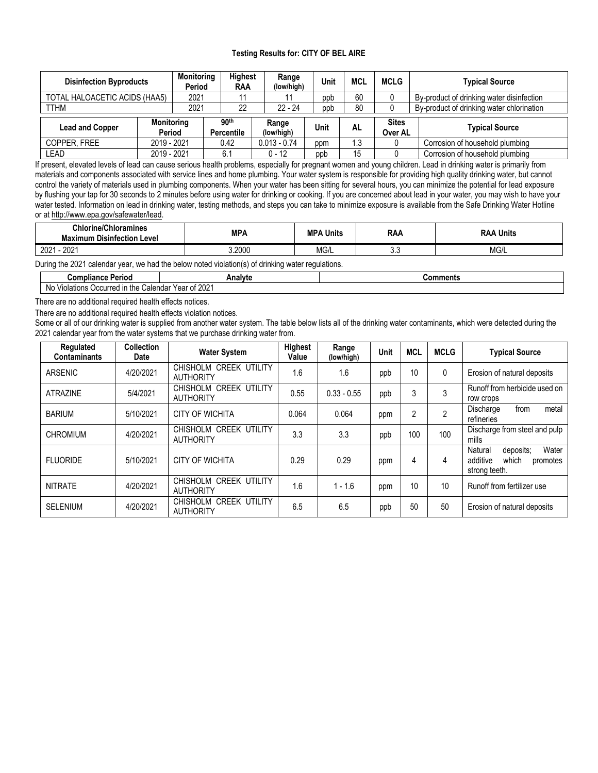## **Testing Results for: CITY OF BEL AIRE**

| <b>Disinfection Byproducts</b> |                                       | <b>Monitoring</b><br>Period | <b>Highest</b><br>RAA |                                       |                     | Range<br>(low/high) | Unit | <b>MCL</b> | <b>MCLG</b>                     | <b>Typical Source</b>                     |  |
|--------------------------------|---------------------------------------|-----------------------------|-----------------------|---------------------------------------|---------------------|---------------------|------|------------|---------------------------------|-------------------------------------------|--|
|                                | TOTAL HALOACETIC ACIDS (HAA5)<br>2021 |                             |                       |                                       |                     |                     | ppb  | 60         |                                 | By-product of drinking water disinfection |  |
| <b>TTHM</b>                    |                                       | 2021                        |                       | 22                                    |                     | $22 - 24$           | ppb  | 80         |                                 | By-product of drinking water chlorination |  |
| <b>Lead and Copper</b>         |                                       | <b>Monitoring</b><br>Period |                       | 90 <sup>th</sup><br><b>Percentile</b> | Range<br>(low/high) |                     | Unit | AL         | <b>Sites</b><br>Over AL         | <b>Typical Source</b>                     |  |
| COPPER, FREE                   | 2019 - 2021                           |                             |                       | $0.013 - 0.74$<br>0.42                |                     |                     | ppm  | ∣.3        |                                 | Corrosion of household plumbing           |  |
| LEAD                           |                                       | 2019 - 2021<br>6.1          |                       | $0 - 12$                              |                     | ppb                 | 15   |            | Corrosion of household plumbing |                                           |  |

If present, elevated levels of lead can cause serious health problems, especially for pregnant women and young children. Lead in drinking water is primarily from materials and components associated with service lines and home plumbing. Your water system is responsible for providing high quality drinking water, but cannot control the variety of materials used in plumbing components. When your water has been sitting for several hours, you can minimize the potential for lead exposure by flushing your tap for 30 seconds to 2 minutes before using water for drinking or cooking. If you are concerned about lead in your water, you may wish to have your water tested. Information on lead in drinking water, testing methods, and steps you can take to minimize exposure is available from the Safe Drinking Water Hotline or at [http://www.epa.gov/safewater/lead.](http://www.epa.gov/safewater/lead)

| chlorine/Chloramines<br><b>Maximum</b><br><b>Disinfection Level</b> | <b>MPA</b> | MP,<br><b>Units</b> | <b>RAA</b> | RAA<br>Units |  |
|---------------------------------------------------------------------|------------|---------------------|------------|--------------|--|
| 2021<br>2001<br>ZUZ                                                 | 3.2000     | Mg/L                | v.v        | MG/L         |  |

During the 2021 calendar year, we had the below noted violation(s) of drinking water regulations.

| Compliance<br>Verioc                                 | ∴nalytr∶                           | .<br><b>Jomments</b> |
|------------------------------------------------------|------------------------------------|----------------------|
| , ir<br>Violations<br>the<br>Nc.<br>wcurred in<br>∾¤ | .2021<br>lendar<br>Voor<br>еа<br>u |                      |

There are no additional required health effects notices.

There are no additional required health effects violation notices.

Some or all of our drinking water is supplied from another water system. The table below lists all of the drinking water contaminants, which were detected during the 2021 calendar year from the water systems that we purchase drinking water from.

| Regulated<br><b>Contaminants</b> | <b>Collection</b><br><b>Date</b> | <b>Water System</b>                           | Highest<br>Value | Range<br>(low/high) | <b>Unit</b> | <b>MCL</b>     | <b>MCLG</b> | <b>Typical Source</b>                                                           |  |
|----------------------------------|----------------------------------|-----------------------------------------------|------------------|---------------------|-------------|----------------|-------------|---------------------------------------------------------------------------------|--|
| ARSENIC                          | 4/20/2021                        | CHISHOLM CREEK<br>UTILITY<br><b>AUTHORITY</b> | 1.6              | 1.6                 | ppb         | 10             | 0           | Erosion of natural deposits                                                     |  |
| <b>ATRAZINE</b>                  | 5/4/2021                         | CHISHOLM CREEK UTILITY<br><b>AUTHORITY</b>    | 0.55             | $0.33 - 0.55$       | ppb         | 3              | 3           | Runoff from herbicide used on<br>row crops                                      |  |
| <b>BARIUM</b>                    | 5/10/2021                        | <b>CITY OF WICHITA</b>                        | 0.064            | 0.064               | ppm         | $\overline{2}$ | $\Omega$    | metal<br>from<br>Discharge<br>refineries                                        |  |
| <b>CHROMIUM</b>                  | 4/20/2021                        | CHISHOLM CREEK UTILITY<br><b>AUTHORITY</b>    | 3.3              | 3.3                 | ppb         | 100            | 100         | Discharge from steel and pulp<br>mills                                          |  |
| <b>FLUORIDE</b>                  | 5/10/2021                        | <b>CITY OF WICHITA</b>                        | 0.29             | 0.29                | ppm         | 4              | 4           | Water<br>Natural<br>deposits:<br>additive<br>which<br>promotes<br>strong teeth. |  |
| <b>NITRATE</b>                   | 4/20/2021                        | CHISHOLM CREEK UTILITY<br><b>AUTHORITY</b>    | 1.6              | $1 - 1.6$           | ppm         | 10             | 10          | Runoff from fertilizer use                                                      |  |
| <b>SELENIUM</b>                  | 4/20/2021                        | CHISHOLM CREEK UTILITY<br><b>AUTHORITY</b>    | 6.5              | 6.5                 | ppb         | 50             | 50          | Erosion of natural deposits                                                     |  |